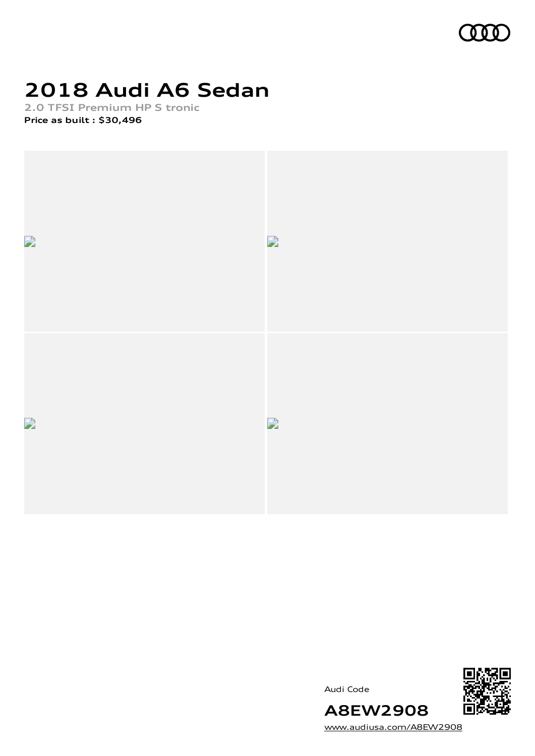

# **2018 Audi A6 Sedan**

**2.0 TFSI Premium HP S tronic Price as built [:](#page-9-0) \$30,496**







[www.audiusa.com/A8EW2908](https://www.audiusa.com/A8EW2908)

**A8EW2908**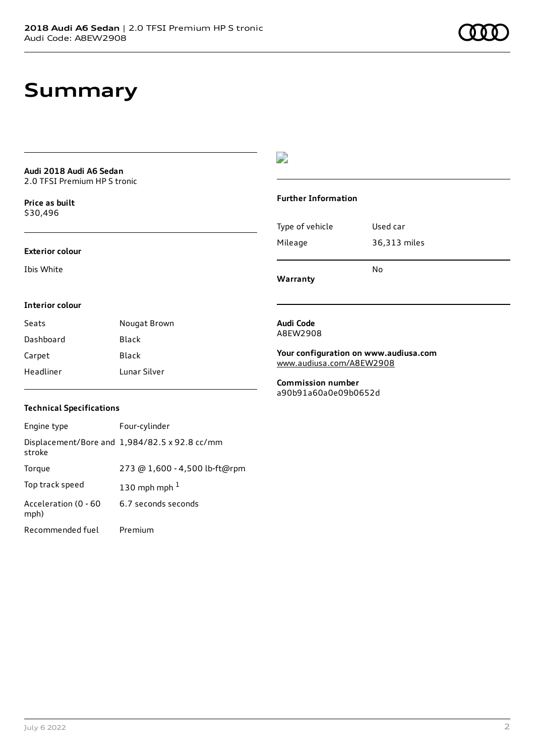## **Summary**

**Audi 2018 Audi A6 Sedan** 2.0 TFSI Premium HP S tronic

**Price as buil[t](#page-9-0)** \$30,496

#### **Exterior colour**

Ibis White

## $\overline{\phantom{a}}$

#### **Further Information**

|                 | No           |
|-----------------|--------------|
| Mileage         | 36,313 miles |
| Type of vehicle | Used car     |

**Warranty**

#### **Interior colour**

| Seats     | Nougat Brown |
|-----------|--------------|
| Dashboard | Black        |
| Carpet    | Black        |
| Headliner | Lunar Silver |

#### **Audi Code** A8EW2908

**Your configuration on www.audiusa.com** [www.audiusa.com/A8EW2908](https://www.audiusa.com/A8EW2908)

**Commission number** a90b91a60a0e09b0652d

### **Technical Specifications**

| Engine type                  | Four-cylinder                                 |
|------------------------------|-----------------------------------------------|
| stroke                       | Displacement/Bore and 1,984/82.5 x 92.8 cc/mm |
| Torque                       | 273 @ 1,600 - 4,500 lb-ft@rpm                 |
| Top track speed              | 130 mph mph $1$                               |
| Acceleration (0 - 60<br>mph) | 6.7 seconds seconds                           |
| Recommended fuel             | Premium                                       |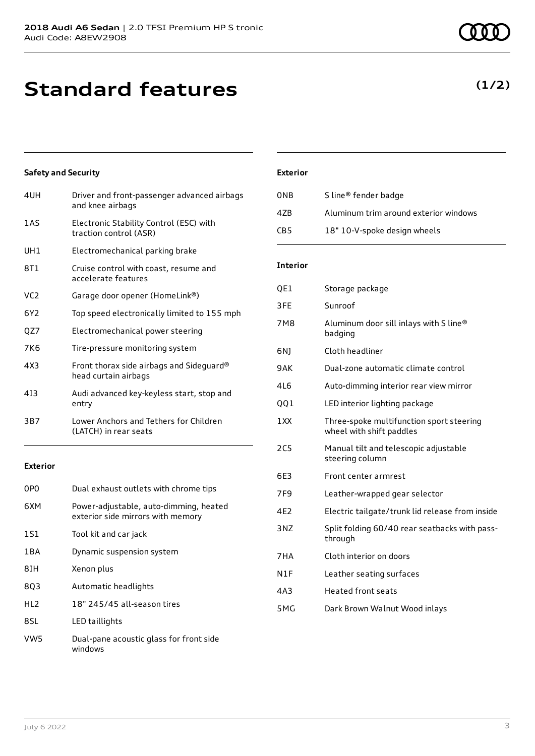## **Standard features**

### **Safety and Security**

| 4UH             | Driver and front-passenger advanced airbags<br>and knee airbags   |
|-----------------|-------------------------------------------------------------------|
| 1 A S           | Electronic Stability Control (ESC) with<br>traction control (ASR) |
| UH1             | Electromechanical parking brake                                   |
| 8T1             | Cruise control with coast, resume and<br>accelerate features      |
| VC <sub>2</sub> | Garage door opener (HomeLink®)                                    |
| 6Y2             | Top speed electronically limited to 155 mph                       |
| QZ7             | Electromechanical power steering                                  |
| 7K6             | Tire-pressure monitoring system                                   |
| 4X3             | Front thorax side airbags and Sideguard®<br>head curtain airbags  |
| 413             | Audi advanced key-keyless start, stop and<br>entry                |
| 3B7             | Lower Anchors and Tethers for Children<br>(LATCH) in rear seats   |

### **Exterior**

| 0PO             | Dual exhaust outlets with chrome tips                                       |
|-----------------|-----------------------------------------------------------------------------|
| 6XM             | Power-adjustable, auto-dimming, heated<br>exterior side mirrors with memory |
| 1S1             | Tool kit and car jack                                                       |
| 1 B A           | Dynamic suspension system                                                   |
| 8TH             | Xenon plus                                                                  |
| 803             | Automatic headlights                                                        |
| HL <sub>2</sub> | 18" 245/45 all-season tires                                                 |
| 8SL             | LED taillights                                                              |
| VW5             | Dual-pane acoustic glass for front side<br>windows                          |

### **Exterior**

| 0NB | S line <sup>®</sup> fender badge      |
|-----|---------------------------------------|
| 47B | Aluminum trim around exterior windows |
| CB5 | 18" 10-V-spoke design wheels          |

### **Interior**

| QE1 | Storage package                                                      |
|-----|----------------------------------------------------------------------|
| 3FE | Sunroof                                                              |
| 7M8 | Aluminum door sill inlays with S line®<br>badging                    |
| 6N1 | Cloth headliner                                                      |
| 9AK | Dual-zone automatic climate control                                  |
| 4L6 | Auto-dimming interior rear view mirror                               |
| QQ1 | LED interior lighting package                                        |
| 1XX | Three-spoke multifunction sport steering<br>wheel with shift paddles |
| 2C5 | Manual tilt and telescopic adjustable<br>steering column             |
| 6E3 | Front center armrest                                                 |
| 7F9 | Leather-wrapped gear selector                                        |
| 4E2 | Electric tailgate/trunk lid release from inside                      |
| 3NZ | Split folding 60/40 rear seatbacks with pass-<br>through             |
| 7HA | Cloth interior on doors                                              |
| N1F | Leather seating surfaces                                             |
| 4A3 | <b>Heated front seats</b>                                            |
| 5MG | Dark Brown Walnut Wood inlays                                        |
|     |                                                                      |

## **(1/2)**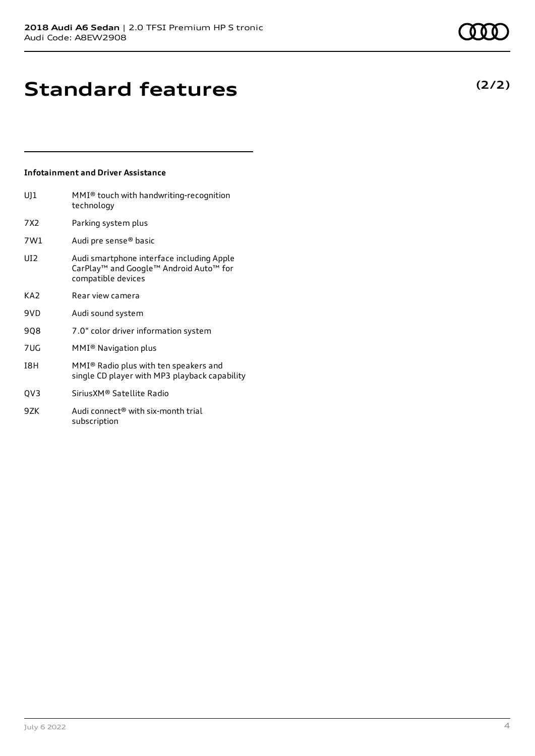## **Infotainment and Driver Assistance**

subscription

| U]1             | $MMI®$ touch with handwriting-recognition<br>technology                                                   |
|-----------------|-----------------------------------------------------------------------------------------------------------|
| 7X2.            | Parking system plus                                                                                       |
| 7W1             | Audi pre sense® basic                                                                                     |
| UI <sub>2</sub> | Audi smartphone interface including Apple<br>CarPlay™ and Google™ Android Auto™ for<br>compatible devices |
| KA <sub>2</sub> | Rear view camera                                                                                          |
| 9VD             | Audi sound system                                                                                         |
| 908             | 7.0" color driver information system                                                                      |
| 7UG             | MMI® Navigation plus                                                                                      |
| I8H             | MMI® Radio plus with ten speakers and<br>single CD player with MP3 playback capability                    |
| QV3             | Sirius XM® Satellite Radio                                                                                |
| 9ZK             | Audi connect <sup>®</sup> with six-month trial                                                            |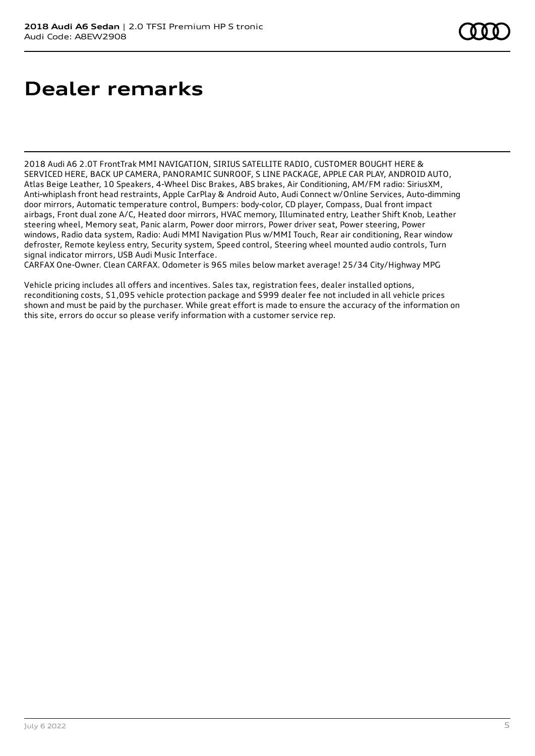## **Dealer remarks**

2018 Audi A6 2.0T FrontTrak MMI NAVIGATION, SIRIUS SATELLITE RADIO, CUSTOMER BOUGHT HERE & SERVICED HERE, BACK UP CAMERA, PANORAMIC SUNROOF, S LINE PACKAGE, APPLE CAR PLAY, ANDROID AUTO, Atlas Beige Leather, 10 Speakers, 4-Wheel Disc Brakes, ABS brakes, Air Conditioning, AM/FM radio: SiriusXM, Anti-whiplash front head restraints, Apple CarPlay & Android Auto, Audi Connect w/Online Services, Auto-dimming door mirrors, Automatic temperature control, Bumpers: body-color, CD player, Compass, Dual front impact airbags, Front dual zone A/C, Heated door mirrors, HVAC memory, Illuminated entry, Leather Shift Knob, Leather steering wheel, Memory seat, Panic alarm, Power door mirrors, Power driver seat, Power steering, Power windows, Radio data system, Radio: Audi MMI Navigation Plus w/MMI Touch, Rear air conditioning, Rear window defroster, Remote keyless entry, Security system, Speed control, Steering wheel mounted audio controls, Turn signal indicator mirrors, USB Audi Music Interface.

CARFAX One-Owner. Clean CARFAX. Odometer is 965 miles below market average! 25/34 City/Highway MPG

Vehicle pricing includes all offers and incentives. Sales tax, registration fees, dealer installed options, reconditioning costs, \$1,095 vehicle protection package and \$999 dealer fee not included in all vehicle prices shown and must be paid by the purchaser. While great effort is made to ensure the accuracy of the information on this site, errors do occur so please verify information with a customer service rep.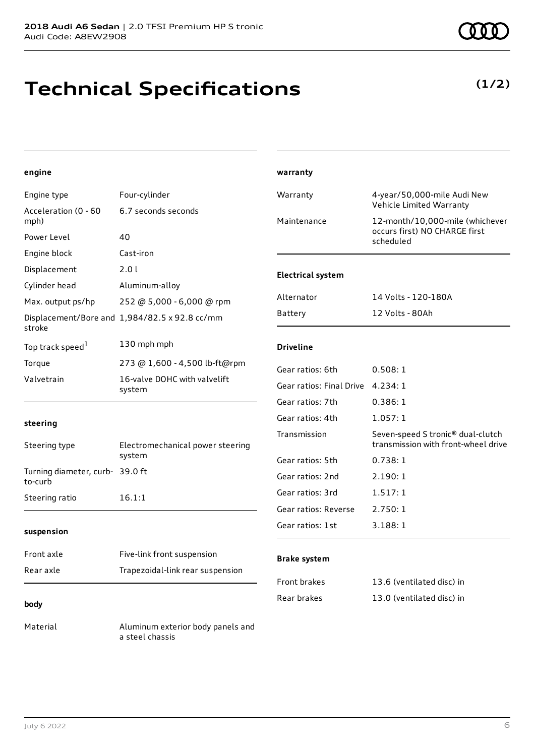## **Technical Specifications**

**(1/2)**

### **engine**

| Engine type                                | Four-cylinder                                 | Warranty                 | 4-year/50,000-mile Audi New                                              |
|--------------------------------------------|-----------------------------------------------|--------------------------|--------------------------------------------------------------------------|
| Acceleration (0 - 60                       | 6.7 seconds seconds                           |                          | Vehicle Limited Warranty                                                 |
| mph)                                       |                                               | Maintenance              | 12-month/10,000-mile (whichever<br>occurs first) NO CHARGE first         |
| Power Level                                | 40                                            |                          | scheduled                                                                |
| Engine block                               | Cast-iron                                     |                          |                                                                          |
| Displacement                               | 2.01                                          | <b>Electrical system</b> |                                                                          |
| Cylinder head                              | Aluminum-alloy                                |                          |                                                                          |
| Max. output ps/hp                          | 252 @ 5,000 - 6,000 @ rpm                     | Alternator               | 14 Volts - 120-180A                                                      |
| stroke                                     | Displacement/Bore and 1,984/82.5 x 92.8 cc/mm | <b>Battery</b>           | 12 Volts - 80Ah                                                          |
| Top track speed <sup>1</sup>               | 130 mph mph                                   | <b>Driveline</b>         |                                                                          |
| Torque                                     | 273 @ 1,600 - 4,500 lb-ft@rpm                 | Gear ratios: 6th         | 0.508:1                                                                  |
| Valvetrain                                 | 16-valve DOHC with valvelift<br>system        | Gear ratios: Final Drive | 4.234:1                                                                  |
|                                            |                                               | Gear ratios: 7th         | 0.386:1                                                                  |
| steering                                   |                                               | Gear ratios: 4th         | 1.057:1                                                                  |
| Steering type                              | Electromechanical power steering              | Transmission             | Seven-speed S tronic® dual-clutch<br>transmission with front-wheel drive |
|                                            | system                                        | Gear ratios: 5th         | 0.738:1                                                                  |
| Turning diameter, curb- 39.0 ft<br>to-curb |                                               | Gear ratios: 2nd         | 2.190:1                                                                  |
| Steering ratio                             | 16.1:1                                        | Gear ratios: 3rd         | 1.517:1                                                                  |
|                                            |                                               | Gear ratios: Reverse     | 2.750:1                                                                  |
| suspension                                 |                                               | Gear ratios: 1st         | 3.188:1                                                                  |
| Front axle                                 | Five-link front suspension                    | <b>Brake system</b>      |                                                                          |
| Rear axle                                  | Trapezoidal-link rear suspension              |                          |                                                                          |
|                                            |                                               | Front brakes             | 13.6 (ventilated disc) in                                                |

Rear brakes 13.0 (ventilated disc) in

**warranty**

#### **body**

Material **Aluminum** exterior body panels and a steel chassis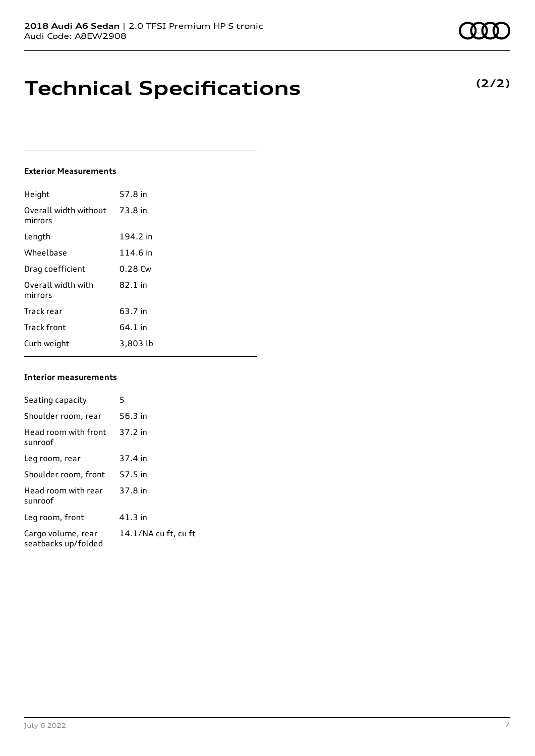## **Technical Specifications**

### **Exterior Measurements**

| Height                           | 57.8 in   |
|----------------------------------|-----------|
| Overall width without<br>mirrors | 73.8 in   |
| Length                           | 194.2 in  |
| Wheelbase                        | 114.6 in  |
| Drag coefficient                 | $0.28$ Cw |
| Overall width with<br>mirrors    | 82.1 in   |
| Track rear                       | 63.7 in   |
| <b>Track front</b>               | 64.1 in   |
| Curb weight                      | 3,803 lb  |

### **Interior measurements**

| Seating capacity                          | 5                    |
|-------------------------------------------|----------------------|
| Shoulder room, rear                       | 56.3 in              |
| Head room with front<br>sunroof           | 37.2 in              |
| Leg room, rear                            | 37.4 in              |
| Shoulder room, front                      | 57.5 in              |
| Head room with rear<br>sunroof            | 37.8 in              |
| Leg room, front                           | $41.3$ in            |
| Cargo volume, rear<br>seatbacks up/folded | 14.1/NA cu ft, cu ft |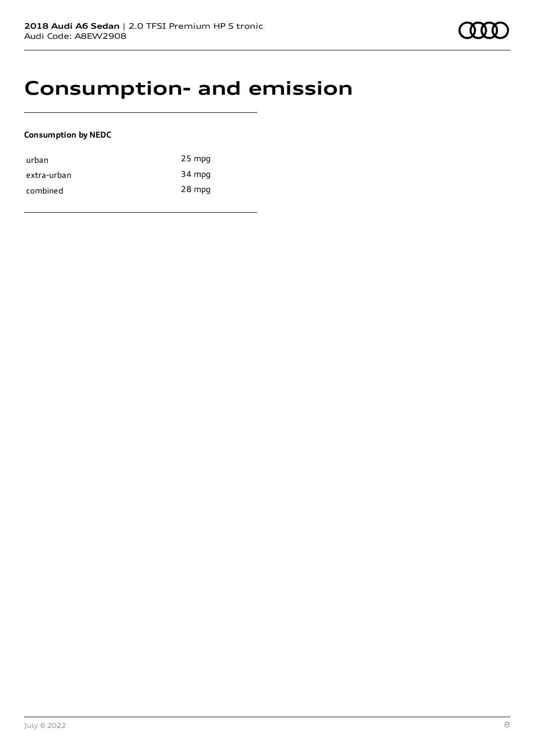## **Consumption- and emission**

### **Consumption by NEDC**

| urban       | $25$ mpg |
|-------------|----------|
| extra-urban | 34 mpg   |
| combined    | 28 mpg   |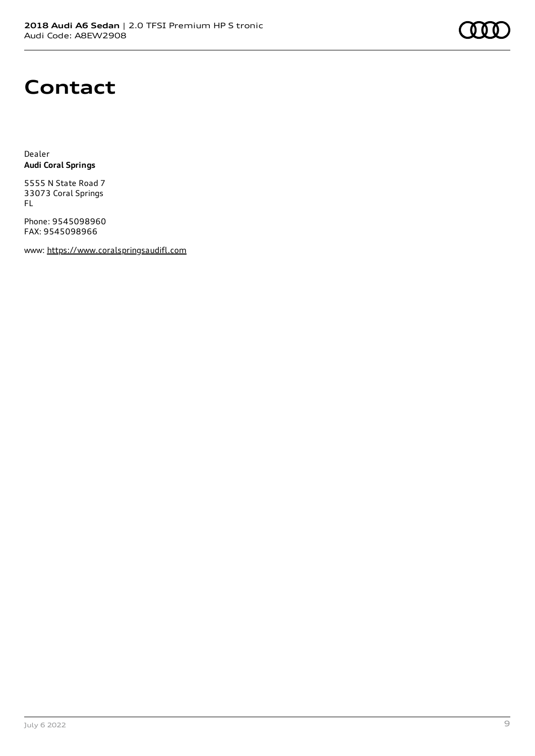## **Contact**

Dealer **Audi Coral Springs**

5555 N State Road 7 33073 Coral Springs FL

Phone: 9545098960 FAX: 9545098966

www: [https://www.coralspringsaudifl.com](https://www.coralspringsaudifl.com/)